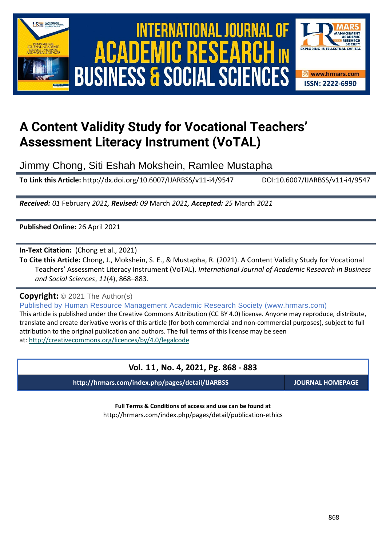





## **A Content Validity Study for Vocational Teachers' Assessment Literacy Instrument (VoTAL)**

Jimmy Chong, Siti Eshah Mokshein, Ramlee Mustapha

**To Link this Article:** http://dx.doi.org/10.6007/IJARBSS/v11-i4/9547 DOI:10.6007/IJARBSS/v11-i4/9547

*Received: 01* February *2021, Revised: 09* March *2021, Accepted: 25* March *2021*

**Published Online:** 26 April 2021

**In-Text Citation:** (Chong et al., 2021)

**To Cite this Article:** Chong, J., Mokshein, S. E., & Mustapha, R. (2021). A Content Validity Study for Vocational Teachers' Assessment Literacy Instrument (VoTAL). *International Journal of Academic Research in Business and Social Sciences*, *11*(4), 868–883.

**Copyright:** © 2021 The Author(s)

Published by Human Resource Management Academic Research Society (www.hrmars.com)

This article is published under the Creative Commons Attribution (CC BY 4.0) license. Anyone may reproduce, distribute, translate and create derivative works of this article (for both commercial and non-commercial purposes), subject to full attribution to the original publication and authors. The full terms of this license may be seen at: <http://creativecommons.org/licences/by/4.0/legalcode>

## **Vol. 11, No. 4, 2021, Pg. 868 - 883**

**http://hrmars.com/index.php/pages/detail/IJARBSS JOURNAL HOMEPAGE**

**Full Terms & Conditions of access and use can be found at** http://hrmars.com/index.php/pages/detail/publication-ethics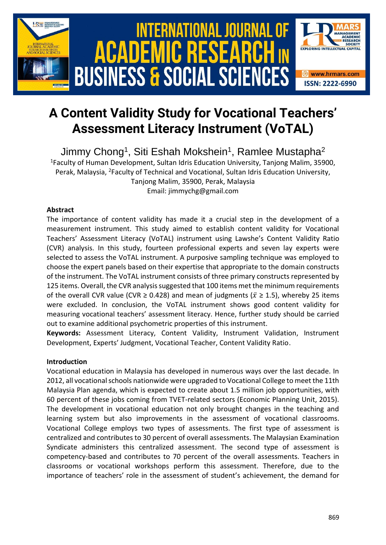

# **A Content Validity Study for Vocational Teachers' Assessment Literacy Instrument (VoTAL)**

Jimmy Chong<sup>1</sup>, Siti Eshah Mokshein<sup>1</sup>, Ramlee Mustapha<sup>2</sup> <sup>1</sup>Faculty of Human Development, Sultan Idris Education University, Tanjong Malim, 35900, Perak, Malaysia, <sup>2</sup>Faculty of Technical and Vocational, Sultan Idris Education University, Tanjong Malim, 35900, Perak, Malaysia Email: jimmychg@gmail.com

## **Abstract**

The importance of content validity has made it a crucial step in the development of a measurement instrument. This study aimed to establish content validity for Vocational Teachers' Assessment Literacy (VoTAL) instrument using Lawshe's Content Validity Ratio (CVR) analysis. In this study, fourteen professional experts and seven lay experts were selected to assess the VoTAL instrument. A purposive sampling technique was employed to choose the expert panels based on their expertise that appropriate to the domain constructs of the instrument. The VoTAL instrument consists of three primary constructs represented by 125 items. Overall, the CVR analysis suggested that 100 items met the minimum requirements of the overall CVR value (CVR  $\geq$  0.428) and mean of judgments ( $\bar{x} \geq$  1.5), whereby 25 items were excluded. In conclusion, the VoTAL instrument shows good content validity for measuring vocational teachers' assessment literacy. Hence, further study should be carried out to examine additional psychometric properties of this instrument.

**Keywords:** Assessment Literacy, Content Validity, Instrument Validation, Instrument Development, Experts' Judgment, Vocational Teacher, Content Validity Ratio.

## **Introduction**

Vocational education in Malaysia has developed in numerous ways over the last decade. In 2012, all vocational schools nationwide were upgraded to Vocational College to meet the 11th Malaysia Plan agenda, which is expected to create about 1.5 million job opportunities, with 60 percent of these jobs coming from TVET-related sectors (Economic Planning Unit, 2015). The development in vocational education not only brought changes in the teaching and learning system but also improvements in the assessment of vocational classrooms. Vocational College employs two types of assessments. The first type of assessment is centralized and contributes to 30 percent of overall assessments. The Malaysian Examination Syndicate administers this centralized assessment. The second type of assessment is competency-based and contributes to 70 percent of the overall assessments. Teachers in classrooms or vocational workshops perform this assessment. Therefore, due to the importance of teachers' role in the assessment of student's achievement, the demand for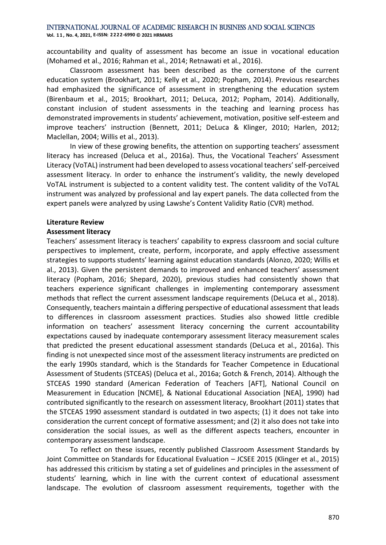accountability and quality of assessment has become an issue in vocational education (Mohamed et al., 2016; Rahman et al., 2014; Retnawati et al., 2016).

Classroom assessment has been described as the cornerstone of the current education system (Brookhart, 2011; Kelly et al., 2020; Popham, 2014). Previous researches had emphasized the significance of assessment in strengthening the education system (Birenbaum et al., 2015; Brookhart, 2011; DeLuca, 2012; Popham, 2014). Additionally, constant inclusion of student assessments in the teaching and learning process has demonstrated improvements in students' achievement, motivation, positive self-esteem and improve teachers' instruction (Bennett, 2011; DeLuca & Klinger, 2010; Harlen, 2012; Maclellan, 2004; Willis et al., 2013).

In view of these growing benefits, the attention on supporting teachers' assessment literacy has increased (Deluca et al., 2016a). Thus, the Vocational Teachers' Assessment Literacy (VoTAL) instrument had been developed to assess vocational teachers' self-perceived assessment literacy. In order to enhance the instrument's validity, the newly developed VoTAL instrument is subjected to a content validity test. The content validity of the VoTAL instrument was analyzed by professional and lay expert panels. The data collected from the expert panels were analyzed by using Lawshe's Content Validity Ratio (CVR) method.

## **Literature Review**

## **Assessment literacy**

Teachers' assessment literacy is teachers' capability to express classroom and social culture perspectives to implement, create, perform, incorporate, and apply effective assessment strategies to supports students' learning against education standards (Alonzo, 2020; Willis et al., 2013). Given the persistent demands to improved and enhanced teachers' assessment literacy (Popham, 2016; Shepard, 2020), previous studies had consistently shown that teachers experience significant challenges in implementing contemporary assessment methods that reflect the current assessment landscape requirements (DeLuca et al., 2018). Consequently, teachers maintain a differing perspective of educational assessment that leads to differences in classroom assessment practices. Studies also showed little credible information on teachers' assessment literacy concerning the current accountability expectations caused by inadequate contemporary assessment literacy measurement scales that predicted the present educational assessment standards (DeLuca et al., 2016a). This finding is not unexpected since most of the assessment literacy instruments are predicted on the early 1990s standard, which is the Standards for Teacher Competence in Educational Assessment of Students (STCEAS) (Deluca et al., 2016a; Gotch & French, 2014). Although the STCEAS 1990 standard (American Federation of Teachers [AFT], National Council on Measurement in Education [NCME], & National Educational Association [NEA], 1990) had contributed significantly to the research on assessment literacy, Brookhart (2011) states that the STCEAS 1990 assessment standard is outdated in two aspects; (1) it does not take into consideration the current concept of formative assessment; and (2) it also does not take into consideration the social issues, as well as the different aspects teachers, encounter in contemporary assessment landscape.

To reflect on these issues, recently published Classroom Assessment Standards by Joint Committee on Standards for Educational Evaluation – JCSEE 2015 (Klinger et al., 2015) has addressed this criticism by stating a set of guidelines and principles in the assessment of students' learning, which in line with the current context of educational assessment landscape. The evolution of classroom assessment requirements, together with the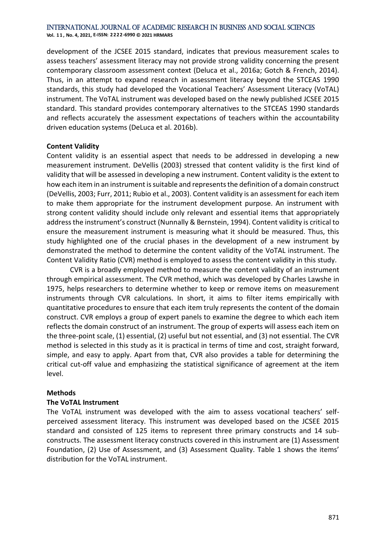**Vol. 1 1 , No. 4, 2021, E-ISSN: 2222-6990 © 2021 HRMARS**

development of the JCSEE 2015 standard, indicates that previous measurement scales to assess teachers' assessment literacy may not provide strong validity concerning the present contemporary classroom assessment context (Deluca et al., 2016a; Gotch & French, 2014). Thus, in an attempt to expand research in assessment literacy beyond the STCEAS 1990 standards, this study had developed the Vocational Teachers' Assessment Literacy (VoTAL) instrument. The VoTAL instrument was developed based on the newly published JCSEE 2015 standard. This standard provides contemporary alternatives to the STCEAS 1990 standards and reflects accurately the assessment expectations of teachers within the accountability driven education systems (DeLuca et al. 2016b).

## **Content Validity**

Content validity is an essential aspect that needs to be addressed in developing a new measurement instrument. DeVellis (2003) stressed that content validity is the first kind of validity that will be assessed in developing a new instrument. Content validity is the extent to how each item in an instrument is suitable and represents the definition of a domain construct (DeVellis, 2003; Furr, 2011; Rubio et al., 2003). Content validity is an assessment for each item to make them appropriate for the instrument development purpose. An instrument with strong content validity should include only relevant and essential items that appropriately address the instrument's construct (Nunnally & Bernstein, 1994). Content validity is critical to ensure the measurement instrument is measuring what it should be measured. Thus, this study highlighted one of the crucial phases in the development of a new instrument by demonstrated the method to determine the content validity of the VoTAL instrument. The Content Validity Ratio (CVR) method is employed to assess the content validity in this study.

CVR is a broadly employed method to measure the content validity of an instrument through empirical assessment. The CVR method, which was developed by Charles Lawshe in 1975, helps researchers to determine whether to keep or remove items on measurement instruments through CVR calculations. In short, it aims to filter items empirically with quantitative procedures to ensure that each item truly represents the content of the domain construct. CVR employs a group of expert panels to examine the degree to which each item reflects the domain construct of an instrument. The group of experts will assess each item on the three-point scale, (1) essential, (2) useful but not essential, and (3) not essential. The CVR method is selected in this study as it is practical in terms of time and cost, straight forward, simple, and easy to apply. Apart from that, CVR also provides a table for determining the critical cut-off value and emphasizing the statistical significance of agreement at the item level.

#### **Methods**

## **The VoTAL Instrument**

The VoTAL instrument was developed with the aim to assess vocational teachers' selfperceived assessment literacy. This instrument was developed based on the JCSEE 2015 standard and consisted of 125 items to represent three primary constructs and 14 subconstructs. The assessment literacy constructs covered in this instrument are (1) Assessment Foundation, (2) Use of Assessment, and (3) Assessment Quality. Table 1 shows the items' distribution for the VoTAL instrument.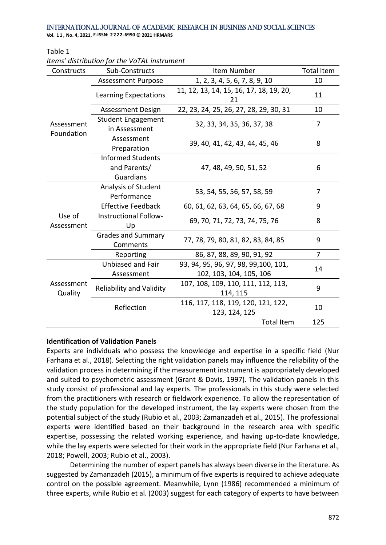**Vol. 1 1 , No. 4, 2021, E-ISSN: 2222-6990 © 2021 HRMARS**

#### Table 1

| Constructs            | Sub-Constructs                                        | Item Number                                                      | <b>Total Item</b> |
|-----------------------|-------------------------------------------------------|------------------------------------------------------------------|-------------------|
|                       | <b>Assessment Purpose</b>                             | 1, 2, 3, 4, 5, 6, 7, 8, 9, 10                                    | 10                |
|                       | Learning Expectations                                 | 11, 12, 13, 14, 15, 16, 17, 18, 19, 20,<br>21                    | 11                |
|                       | <b>Assessment Design</b>                              | 22, 23, 24, 25, 26, 27, 28, 29, 30, 31                           | 10                |
| Assessment            | <b>Student Engagement</b><br>in Assessment            | 32, 33, 34, 35, 36, 37, 38                                       | $\overline{7}$    |
| Foundation            | Assessment<br>Preparation                             | 39, 40, 41, 42, 43, 44, 45, 46                                   | 8                 |
|                       | <b>Informed Students</b><br>and Parents/<br>Guardians | 47, 48, 49, 50, 51, 52                                           | 6                 |
|                       | Analysis of Student<br>Performance                    | 53, 54, 55, 56, 57, 58, 59                                       | 7                 |
|                       | <b>Effective Feedback</b>                             | 60, 61, 62, 63, 64, 65, 66, 67, 68                               | 9                 |
| Use of<br>Assessment  | Instructional Follow-<br>Up                           | 69, 70, 71, 72, 73, 74, 75, 76                                   | 8                 |
|                       | <b>Grades and Summary</b><br>Comments                 | 77, 78, 79, 80, 81, 82, 83, 84, 85                               | 9                 |
|                       | Reporting                                             | 86, 87, 88, 89, 90, 91, 92                                       | $\overline{7}$    |
|                       | Unbiased and Fair<br>Assessment                       | 93, 94, 95, 96, 97, 98, 99, 100, 101,<br>102, 103, 104, 105, 106 | 14                |
| Assessment<br>Quality | <b>Reliability and Validity</b>                       | 107, 108, 109, 110, 111, 112, 113,<br>114, 115                   | 9                 |
|                       | Reflection                                            | 116, 117, 118, 119, 120, 121, 122,<br>123, 124, 125              | 10                |
|                       |                                                       | <b>Total Item</b>                                                | 125               |

*Items' distribution for the VoTAL instrument*

## **Identification of Validation Panels**

Experts are individuals who possess the knowledge and expertise in a specific field (Nur Farhana et al., 2018). Selecting the right validation panels may influence the reliability of the validation process in determining if the measurement instrument is appropriately developed and suited to psychometric assessment (Grant & Davis, 1997). The validation panels in this study consist of professional and lay experts. The professionals in this study were selected from the practitioners with research or fieldwork experience. To allow the representation of the study population for the developed instrument, the lay experts were chosen from the potential subject of the study (Rubio et al., 2003; Zamanzadeh et al., 2015). The professional experts were identified based on their background in the research area with specific expertise, possessing the related working experience, and having up-to-date knowledge, while the lay experts were selected for their work in the appropriate field (Nur Farhana et al., 2018; Powell, 2003; Rubio et al., 2003).

Determining the number of expert panels has always been diverse in the literature. As suggested by Zamanzadeh (2015), a minimum of five experts is required to achieve adequate control on the possible agreement. Meanwhile, Lynn (1986) recommended a minimum of three experts, while Rubio et al. (2003) suggest for each category of experts to have between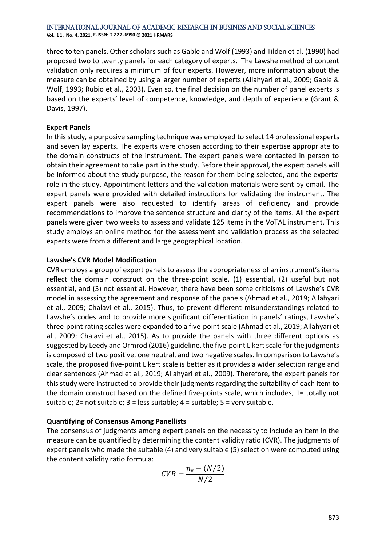**Vol. 1 1 , No. 4, 2021, E-ISSN: 2222-6990 © 2021 HRMARS**

three to ten panels. Other scholars such as Gable and Wolf (1993) and Tilden et al. (1990) had proposed two to twenty panels for each category of experts. The Lawshe method of content validation only requires a minimum of four experts. However, more information about the measure can be obtained by using a larger number of experts (Allahyari et al., 2009; Gable & Wolf, 1993; Rubio et al., 2003). Even so, the final decision on the number of panel experts is based on the experts' level of competence, knowledge, and depth of experience (Grant & Davis, 1997).

#### **Expert Panels**

In this study, a purposive sampling technique was employed to select 14 professional experts and seven lay experts. The experts were chosen according to their expertise appropriate to the domain constructs of the instrument. The expert panels were contacted in person to obtain their agreement to take part in the study. Before their approval, the expert panels will be informed about the study purpose, the reason for them being selected, and the experts' role in the study. Appointment letters and the validation materials were sent by email. The expert panels were provided with detailed instructions for validating the instrument. The expert panels were also requested to identify areas of deficiency and provide recommendations to improve the sentence structure and clarity of the items. All the expert panels were given two weeks to assess and validate 125 items in the VoTAL instrument. This study employs an online method for the assessment and validation process as the selected experts were from a different and large geographical location.

#### **Lawshe's CVR Model Modification**

CVR employs a group of expert panels to assess the appropriateness of an instrument's items reflect the domain construct on the three-point scale, (1) essential, (2) useful but not essential, and (3) not essential. However, there have been some criticisms of Lawshe's CVR model in assessing the agreement and response of the panels (Ahmad et al., 2019; Allahyari et al., 2009; Chalavi et al., 2015). Thus, to prevent different misunderstandings related to Lawshe's codes and to provide more significant differentiation in panels' ratings, Lawshe's three-point rating scales were expanded to a five-point scale (Ahmad et al., 2019; Allahyari et al., 2009; Chalavi et al., 2015). As to provide the panels with three different options as suggested by Leedy and Ormrod (2016) guideline, the five-point Likert scale for the judgments is composed of two positive, one neutral, and two negative scales. In comparison to Lawshe's scale, the proposed five-point Likert scale is better as it provides a wider selection range and clear sentences (Ahmad et al., 2019; Allahyari et al., 2009). Therefore, the expert panels for this study were instructed to provide their judgments regarding the suitability of each item to the domain construct based on the defined five-points scale, which includes, 1= totally not suitable; 2= not suitable; 3 = less suitable; 4 = suitable; 5 = very suitable.

#### **Quantifying of Consensus Among Panellists**

The consensus of judgments among expert panels on the necessity to include an item in the measure can be quantified by determining the content validity ratio (CVR). The judgments of expert panels who made the suitable (4) and very suitable (5) selection were computed using the content validity ratio formula:

$$
CVR = \frac{n_e - (N/2)}{N/2}
$$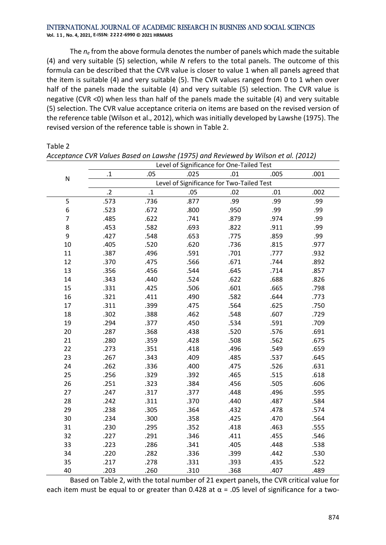#### International Journal of Academic Research in Business and Social Sciences **Vol. 1 1 , No. 4, 2021, E-ISSN: 2222-6990 © 2021 HRMARS**

The *n<sup>е</sup>* from the above formula denotes the number of panels which made the suitable (4) and very suitable (5) selection, while *N* refers to the total panels. The outcome of this formula can be described that the CVR value is closer to value 1 when all panels agreed that the item is suitable (4) and very suitable (5). The CVR values ranged from 0 to 1 when over half of the panels made the suitable (4) and very suitable (5) selection. The CVR value is negative (CVR <0) when less than half of the panels made the suitable (4) and very suitable (5) selection. The CVR value acceptance criteria on items are based on the revised version of the reference table (Wilson et al., 2012), which was initially developed by Lawshe (1975). The revised version of the reference table is shown in Table 2.

|                  | Level of Significance for One-Tailed Test |           |      |                                           |      |      |  |  |  |
|------------------|-------------------------------------------|-----------|------|-------------------------------------------|------|------|--|--|--|
|                  | $\cdot$ 1                                 | .05       | .025 | .01                                       | .005 | .001 |  |  |  |
| ${\sf N}$        |                                           |           |      | Level of Significance for Two-Tailed Test |      |      |  |  |  |
|                  | $\cdot$ .2                                | $\cdot$ 1 | .05  | .02                                       | .01  | .002 |  |  |  |
| 5                | .573                                      | .736      | .877 | .99                                       | .99  | .99  |  |  |  |
| $\boldsymbol{6}$ | .523                                      | .672      | .800 | .950                                      | .99  | .99  |  |  |  |
| $\overline{7}$   | .485                                      | .622      | .741 | .879                                      | .974 | .99  |  |  |  |
| 8                | .453                                      | .582      | .693 | .822                                      | .911 | .99  |  |  |  |
| 9                | .427                                      | .548      | .653 | .775                                      | .859 | .99  |  |  |  |
| 10               | .405                                      | .520      | .620 | .736                                      | .815 | .977 |  |  |  |
| 11               | .387                                      | .496      | .591 | .701                                      | .777 | .932 |  |  |  |
| 12               | .370                                      | .475      | .566 | .671                                      | .744 | .892 |  |  |  |
| 13               | .356                                      | .456      | .544 | .645                                      | .714 | .857 |  |  |  |
| 14               | .343                                      | .440      | .524 | .622                                      | .688 | .826 |  |  |  |
| 15               | .331                                      | .425      | .506 | .601                                      | .665 | .798 |  |  |  |
| 16               | .321                                      | .411      | .490 | .582                                      | .644 | .773 |  |  |  |
| 17               | .311                                      | .399      | .475 | .564                                      | .625 | .750 |  |  |  |
| 18               | .302                                      | .388      | .462 | .548                                      | .607 | .729 |  |  |  |
| 19               | .294                                      | .377      | .450 | .534                                      | .591 | .709 |  |  |  |
| 20               | .287                                      | .368      | .438 | .520                                      | .576 | .691 |  |  |  |
| 21               | .280                                      | .359      | .428 | .508                                      | .562 | .675 |  |  |  |
| 22               | .273                                      | .351      | .418 | .496                                      | .549 | .659 |  |  |  |
| 23               | .267                                      | .343      | .409 | .485                                      | .537 | .645 |  |  |  |
| 24               | .262                                      | .336      | .400 | .475                                      | .526 | .631 |  |  |  |
| 25               | .256                                      | .329      | .392 | .465                                      | .515 | .618 |  |  |  |
| 26               | .251                                      | .323      | .384 | .456                                      | .505 | .606 |  |  |  |
| 27               | .247                                      | .317      | .377 | .448                                      | .496 | .595 |  |  |  |
| 28               | .242                                      | .311      | .370 | .440                                      | .487 | .584 |  |  |  |
| 29               | .238                                      | .305      | .364 | .432                                      | .478 | .574 |  |  |  |
| 30               | .234                                      | .300      | .358 | .425                                      | .470 | .564 |  |  |  |
| 31               | .230                                      | .295      | .352 | .418                                      | .463 | .555 |  |  |  |
| 32               | .227                                      | .291      | .346 | .411                                      | .455 | .546 |  |  |  |
| 33               | .223                                      | .286      | .341 | .405                                      | .448 | .538 |  |  |  |
| 34               | .220                                      | .282      | .336 | .399                                      | .442 | .530 |  |  |  |
| 35               | .217                                      | .278      | .331 | .393                                      | .435 | .522 |  |  |  |
| 40               | .203                                      | .260      | .310 | .368                                      | .407 | .489 |  |  |  |

Table 2

*Acceptance CVR Values Based on Lawshe (1975) and Reviewed by Wilson et al. (2012)*

Based on Table 2, with the total number of 21 expert panels, the CVR critical value for each item must be equal to or greater than 0.428 at  $\alpha$  = .05 level of significance for a two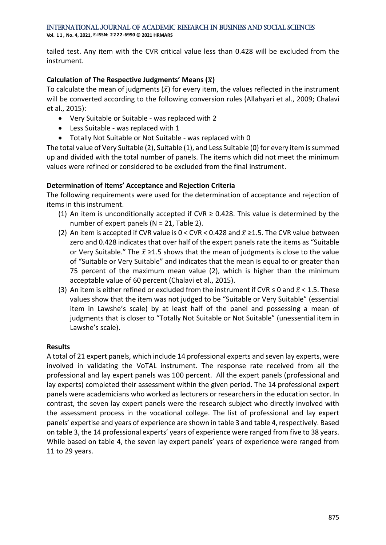**Vol. 1 1 , No. 4, 2021, E-ISSN: 2222-6990 © 2021 HRMARS**

tailed test. Any item with the CVR critical value less than 0.428 will be excluded from the instrument.

## Calculation of The Respective Judgments' Means  $(\overline{x})$

To calculate the mean of judgments  $(\bar{x})$  for every item, the values reflected in the instrument will be converted according to the following conversion rules (Allahyari et al., 2009; Chalavi et al., 2015):

- Very Suitable or Suitable was replaced with 2
- Less Suitable was replaced with 1
- Totally Not Suitable or Not Suitable was replaced with 0

The total value of Very Suitable (2), Suitable (1), and Less Suitable (0) for every item is summed up and divided with the total number of panels. The items which did not meet the minimum values were refined or considered to be excluded from the final instrument.

## **Determination of Items' Acceptance and Rejection Criteria**

The following requirements were used for the determination of acceptance and rejection of items in this instrument.

- (1) An item is unconditionally accepted if CVR  $\geq$  0.428. This value is determined by the number of expert panels ( $N = 21$ , Table 2).
- (2) An item is accepted if CVR value is  $0 <$  CVR < 0.428 and  $\bar{x} \ge 1.5$ . The CVR value between zero and 0.428 indicates that over half of the expert panels rate the items as "Suitable or Very Suitable." The  $\bar{x}$  ≥1.5 shows that the mean of judgments is close to the value of "Suitable or Very Suitable" and indicates that the mean is equal to or greater than 75 percent of the maximum mean value (2), which is higher than the minimum acceptable value of 60 percent (Chalavi et al., 2015).
- (3) An item is either refined or excluded from the instrument if CVR  $\leq$  0 and  $\bar{x}$  < 1.5. These values show that the item was not judged to be "Suitable or Very Suitable" (essential item in Lawshe's scale) by at least half of the panel and possessing a mean of judgments that is closer to "Totally Not Suitable or Not Suitable" (unessential item in Lawshe's scale).

## **Results**

A total of 21 expert panels, which include 14 professional experts and seven lay experts, were involved in validating the VoTAL instrument. The response rate received from all the professional and lay expert panels was 100 percent. All the expert panels (professional and lay experts) completed their assessment within the given period. The 14 professional expert panels were academicians who worked as lecturers or researchers in the education sector. In contrast, the seven lay expert panels were the research subject who directly involved with the assessment process in the vocational college. The list of professional and lay expert panels' expertise and years of experience are shown in table 3 and table 4, respectively. Based on table 3, the 14 professional experts' years of experience were ranged from five to 38 years. While based on table 4, the seven lay expert panels' years of experience were ranged from 11 to 29 years.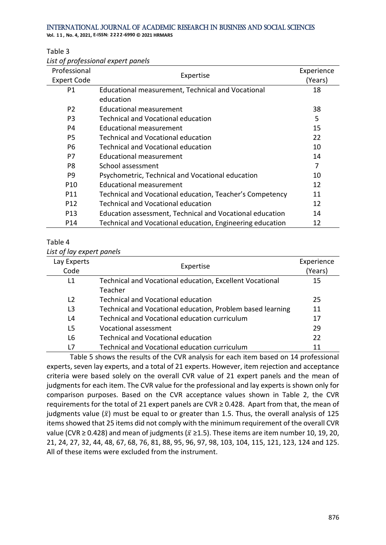**Vol. 1 1 , No. 4, 2021, E-ISSN: 2222-6990 © 2021 HRMARS**

Table 3

| Professional       | Expertise                                                 | Experience |
|--------------------|-----------------------------------------------------------|------------|
| <b>Expert Code</b> |                                                           | (Years)    |
| P <sub>1</sub>     | Educational measurement, Technical and Vocational         | 18         |
|                    | education                                                 |            |
| P <sub>2</sub>     | Educational measurement                                   | 38         |
| P3                 | Technical and Vocational education                        | 5          |
| P4                 | <b>Educational measurement</b>                            | 15         |
| P5                 | <b>Technical and Vocational education</b>                 | 22         |
| P6                 | <b>Technical and Vocational education</b>                 | 10         |
| P7                 | Educational measurement                                   | 14         |
| P8                 | School assessment                                         | 7          |
| P9                 | Psychometric, Technical and Vocational education          | 10         |
| P <sub>10</sub>    | <b>Educational measurement</b>                            | 12         |
| P11                | Technical and Vocational education, Teacher's Competency  | 11         |
| P <sub>12</sub>    | <b>Technical and Vocational education</b>                 | 12         |
| P <sub>13</sub>    | Education assessment, Technical and Vocational education  | 14         |
| P <sub>14</sub>    | Technical and Vocational education, Engineering education | 12         |

## *List of professional expert panels*

## Table 4

*List of lay expert panels*

| Lay Experts    | Expertise                                                  | Experience |
|----------------|------------------------------------------------------------|------------|
| Code           |                                                            | (Years)    |
| L1             | Technical and Vocational education, Excellent Vocational   | 15         |
|                | Teacher                                                    |            |
| L <sub>2</sub> | Technical and Vocational education                         | 25         |
| L <sub>3</sub> | Technical and Vocational education, Problem based learning | 11         |
| L4             | Technical and Vocational education curriculum              | 17         |
| L5             | Vocational assessment                                      | 29         |
| L6             | <b>Technical and Vocational education</b>                  | 22         |
| $\overline{1}$ | <b>Technical and Vocational education curriculum</b>       | 11         |

Table 5 shows the results of the CVR analysis for each item based on 14 professional experts, seven lay experts, and a total of 21 experts. However, item rejection and acceptance criteria were based solely on the overall CVR value of 21 expert panels and the mean of judgments for each item. The CVR value for the professional and lay experts is shown only for comparison purposes. Based on the CVR acceptance values shown in Table 2, the CVR requirements for the total of 21 expert panels are CVR ≥ 0.428. Apart from that, the mean of judgments value ( $\bar{x}$ ) must be equal to or greater than 1.5. Thus, the overall analysis of 125 items showed that 25 items did not comply with the minimum requirement of the overall CVR value (CVR ≥ 0.428) and mean of judgments ( $\bar{x}$  ≥1.5). These items are item number 10, 19, 20, 21, 24, 27, 32, 44, 48, 67, 68, 76, 81, 88, 95, 96, 97, 98, 103, 104, 115, 121, 123, 124 and 125. All of these items were excluded from the instrument.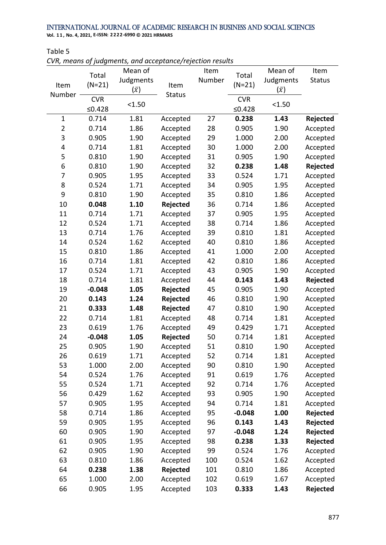**Vol. 1 1 , No. 4, 2021, E-ISSN: 2222-6990 © 2021 HRMARS**

Table 5

|  |  | CVR, means of judgments, and acceptance/rejection results |  |
|--|--|-----------------------------------------------------------|--|
|  |  |                                                           |  |

|                | Total      | Mean of     |               | Item   | Total      | Mean of     | Item          |
|----------------|------------|-------------|---------------|--------|------------|-------------|---------------|
| Item           | $(N=21)$   | Judgments   | Item          | Number | $(N=21)$   | Judgments   | <b>Status</b> |
| Number         |            | $(\bar{x})$ | <b>Status</b> |        |            | $(\bar{x})$ |               |
|                | <b>CVR</b> | < 1.50      |               |        | <b>CVR</b> | < 1.50      |               |
|                | ≤0.428     |             |               |        | ≤0.428     |             |               |
| $\mathbf{1}$   | 0.714      | 1.81        | Accepted      | 27     | 0.238      | 1.43        | Rejected      |
| $\overline{2}$ | 0.714      | 1.86        | Accepted      | 28     | 0.905      | 1.90        | Accepted      |
| 3              | 0.905      | 1.90        | Accepted      | 29     | 1.000      | 2.00        | Accepted      |
| 4              | 0.714      | 1.81        | Accepted      | 30     | 1.000      | 2.00        | Accepted      |
| 5              | 0.810      | 1.90        | Accepted      | 31     | 0.905      | 1.90        | Accepted      |
| 6              | 0.810      | 1.90        | Accepted      | 32     | 0.238      | 1.48        | Rejected      |
| 7              | 0.905      | 1.95        | Accepted      | 33     | 0.524      | 1.71        | Accepted      |
| 8              | 0.524      | 1.71        | Accepted      | 34     | 0.905      | 1.95        | Accepted      |
| 9              | 0.810      | 1.90        | Accepted      | 35     | 0.810      | 1.86        | Accepted      |
| 10             | 0.048      | 1.10        | Rejected      | 36     | 0.714      | 1.86        | Accepted      |
| 11             | 0.714      | 1.71        | Accepted      | 37     | 0.905      | 1.95        | Accepted      |
| 12             | 0.524      | 1.71        | Accepted      | 38     | 0.714      | 1.86        | Accepted      |
| 13             | 0.714      | 1.76        | Accepted      | 39     | 0.810      | 1.81        | Accepted      |
| 14             | 0.524      | 1.62        | Accepted      | 40     | 0.810      | 1.86        | Accepted      |
| 15             | 0.810      | 1.86        | Accepted      | 41     | 1.000      | 2.00        | Accepted      |
| 16             | 0.714      | 1.81        | Accepted      | 42     | 0.810      | 1.86        | Accepted      |
| 17             | 0.524      | 1.71        | Accepted      | 43     | 0.905      | 1.90        | Accepted      |
| 18             | 0.714      | 1.81        | Accepted      | 44     | 0.143      | 1.43        | Rejected      |
| 19             | $-0.048$   | 1.05        | Rejected      | 45     | 0.905      | 1.90        | Accepted      |
| 20             | 0.143      | 1.24        | Rejected      | 46     | 0.810      | 1.90        | Accepted      |
| 21             | 0.333      | 1.48        | Rejected      | 47     | 0.810      | 1.90        | Accepted      |
| 22             | 0.714      | 1.81        | Accepted      | 48     | 0.714      | 1.81        | Accepted      |
| 23             | 0.619      | 1.76        | Accepted      | 49     | 0.429      | 1.71        | Accepted      |
| 24             | $-0.048$   | 1.05        | Rejected      | 50     | 0.714      | 1.81        | Accepted      |
| 25             | 0.905      | 1.90        | Accepted      | 51     | 0.810      | 1.90        | Accepted      |
| 26             | 0.619      | 1.71        | Accepted      | 52     | 0.714      | 1.81        | Accepted      |
| 53             | 1.000      | 2.00        | Accepted      | 90     | 0.810      | 1.90        | Accepted      |
| 54             | 0.524      | 1.76        | Accepted      | 91     | 0.619      | 1.76        | Accepted      |
| 55             | 0.524      | 1.71        | Accepted      | 92     | 0.714      | 1.76        | Accepted      |
| 56             | 0.429      | 1.62        | Accepted      | 93     | 0.905      | 1.90        | Accepted      |
| 57             | 0.905      | 1.95        | Accepted      | 94     | 0.714      | 1.81        | Accepted      |
| 58             | 0.714      | 1.86        | Accepted      | 95     | $-0.048$   | 1.00        | Rejected      |
| 59             | 0.905      | 1.95        | Accepted      | 96     | 0.143      | 1.43        | Rejected      |
| 60             | 0.905      | 1.90        | Accepted      | 97     | $-0.048$   | 1.24        | Rejected      |
| 61             | 0.905      | 1.95        | Accepted      | 98     | 0.238      | 1.33        | Rejected      |
| 62             | 0.905      | 1.90        | Accepted      | 99     | 0.524      | 1.76        | Accepted      |
| 63             | 0.810      | 1.86        | Accepted      | 100    | 0.524      | 1.62        | Accepted      |
| 64             | 0.238      | 1.38        | Rejected      | 101    | 0.810      | 1.86        | Accepted      |
| 65             | 1.000      | 2.00        | Accepted      | 102    | 0.619      | 1.67        | Accepted      |
| 66             | 0.905      | 1.95        | Accepted      | 103    | 0.333      | 1.43        | Rejected      |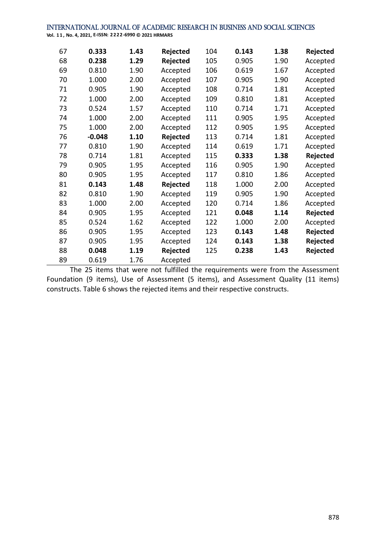**Vol. 1 1 , No. 4, 2021, E-ISSN: 2222-6990 © 2021 HRMARS**

| 67 | 0.333    | 1.43 | Rejected | 104 | 0.143 | 1.38 | Rejected |
|----|----------|------|----------|-----|-------|------|----------|
| 68 | 0.238    | 1.29 | Rejected | 105 | 0.905 | 1.90 | Accepted |
| 69 | 0.810    | 1.90 | Accepted | 106 | 0.619 | 1.67 | Accepted |
| 70 | 1.000    | 2.00 | Accepted | 107 | 0.905 | 1.90 | Accepted |
| 71 | 0.905    | 1.90 | Accepted | 108 | 0.714 | 1.81 | Accepted |
| 72 | 1.000    | 2.00 | Accepted | 109 | 0.810 | 1.81 | Accepted |
| 73 | 0.524    | 1.57 | Accepted | 110 | 0.714 | 1.71 | Accepted |
| 74 | 1.000    | 2.00 | Accepted | 111 | 0.905 | 1.95 | Accepted |
| 75 | 1.000    | 2.00 | Accepted | 112 | 0.905 | 1.95 | Accepted |
| 76 | $-0.048$ | 1.10 | Rejected | 113 | 0.714 | 1.81 | Accepted |
| 77 | 0.810    | 1.90 | Accepted | 114 | 0.619 | 1.71 | Accepted |
| 78 | 0.714    | 1.81 | Accepted | 115 | 0.333 | 1.38 | Rejected |
| 79 | 0.905    | 1.95 | Accepted | 116 | 0.905 | 1.90 | Accepted |
| 80 | 0.905    | 1.95 | Accepted | 117 | 0.810 | 1.86 | Accepted |
| 81 | 0.143    | 1.48 | Rejected | 118 | 1.000 | 2.00 | Accepted |
| 82 | 0.810    | 1.90 | Accepted | 119 | 0.905 | 1.90 | Accepted |
| 83 | 1.000    | 2.00 | Accepted | 120 | 0.714 | 1.86 | Accepted |
| 84 | 0.905    | 1.95 | Accepted | 121 | 0.048 | 1.14 | Rejected |
| 85 | 0.524    | 1.62 | Accepted | 122 | 1.000 | 2.00 | Accepted |
| 86 | 0.905    | 1.95 | Accepted | 123 | 0.143 | 1.48 | Rejected |
| 87 | 0.905    | 1.95 | Accepted | 124 | 0.143 | 1.38 | Rejected |
| 88 | 0.048    | 1.19 | Rejected | 125 | 0.238 | 1.43 | Rejected |
| 89 | 0.619    | 1.76 | Accepted |     |       |      |          |

The 25 items that were not fulfilled the requirements were from the Assessment Foundation (9 items), Use of Assessment (5 items), and Assessment Quality (11 items) constructs. Table 6 shows the rejected items and their respective constructs.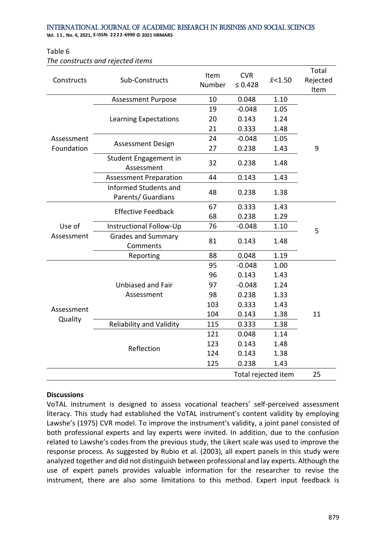**Vol. 1 1 , No. 4, 2021, E-ISSN: 2222-6990 © 2021 HRMARS**

#### Table 6

*The constructs and rejected items*

| Constructs | Sub-Constructs                              | Item<br>Number | <b>CVR</b><br>$\leq 0.428$ | $\bar{x}$ < 1.50    | Total<br>Rejected |
|------------|---------------------------------------------|----------------|----------------------------|---------------------|-------------------|
|            |                                             | 10             | 0.048                      | 1.10                | Item              |
|            | <b>Assessment Purpose</b>                   | 19             | $-0.048$                   | 1.05                |                   |
|            |                                             |                |                            |                     |                   |
|            | Learning Expectations                       | 20             | 0.143                      | 1.24                |                   |
|            |                                             | 21             | 0.333                      | 1.48                |                   |
| Assessment | Assessment Design                           | 24             | $-0.048$                   | 1.05                |                   |
| Foundation |                                             | 27             | 0.238                      | 1.43                | 9                 |
|            | Student Engagement in<br>Assessment         | 32             | 0.238                      | 1.48                |                   |
|            | <b>Assessment Preparation</b>               | 44             | 0.143                      | 1.43                |                   |
|            | Informed Students and<br>Parents/ Guardians | 48             | 0.238                      | 1.38                |                   |
|            |                                             | 67             | 0.333                      | 1.43                |                   |
|            | <b>Effective Feedback</b>                   | 68             | 0.238                      | 1.29                |                   |
| Use of     | Instructional Follow-Up                     | 76             | $-0.048$                   | 1.10                |                   |
| Assessment | <b>Grades and Summary</b><br>Comments       | 81             | 0.143                      | 1.48                | 5                 |
|            | Reporting                                   | 88             | 0.048                      | 1.19                |                   |
|            |                                             | 95             | $-0.048$                   | 1.00                |                   |
|            |                                             | 96             | 0.143                      | 1.43                |                   |
|            | <b>Unbiased and Fair</b>                    | 97             | $-0.048$                   | 1.24                |                   |
|            | Assessment                                  | 98             | 0.238                      | 1.33                |                   |
|            |                                             | 103            | 0.333                      | 1.43                |                   |
| Assessment |                                             | 104            | 0.143                      | 1.38                | 11                |
| Quality    | <b>Reliability and Validity</b>             | 115            | 0.333                      | 1.38                |                   |
|            |                                             | 121            | 0.048                      | 1.14                |                   |
|            |                                             | 123            | 0.143                      | 1.48                |                   |
|            | Reflection                                  | 124            | 0.143                      | 1.38                |                   |
|            |                                             | 125            | 0.238                      | 1.43                |                   |
|            |                                             |                |                            | Total rejected item | 25                |

#### **Discussions**

VoTAL instrument is designed to assess vocational teachers' self-perceived assessment literacy. This study had established the VoTAL instrument's content validity by employing Lawshe's (1975) CVR model. To improve the instrument's validity, a joint panel consisted of both professional experts and lay experts were invited. In addition, due to the confusion related to Lawshe's codes from the previous study, the Likert scale was used to improve the response process. As suggested by Rubio et al. (2003), all expert panels in this study were analyzed together and did not distinguish between professional and lay experts. Although the use of expert panels provides valuable information for the researcher to revise the instrument, there are also some limitations to this method. Expert input feedback is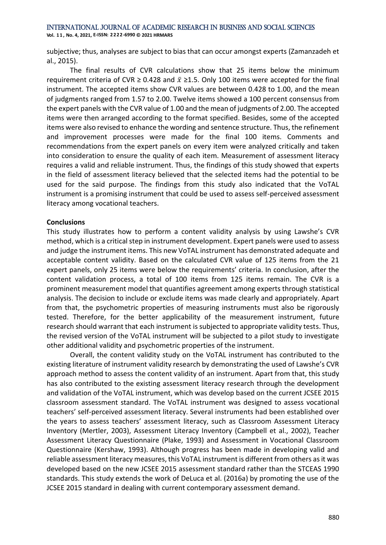**Vol. 1 1 , No. 4, 2021, E-ISSN: 2222-6990 © 2021 HRMARS**

subjective; thus, analyses are subject to bias that can occur amongst experts (Zamanzadeh et al., 2015).

The final results of CVR calculations show that 25 items below the minimum requirement criteria of CVR  $\geq$  0.428 and  $\bar{x} \geq$ 1.5. Only 100 items were accepted for the final instrument. The accepted items show CVR values are between 0.428 to 1.00, and the mean of judgments ranged from 1.57 to 2.00. Twelve items showed a 100 percent consensus from the expert panels with the CVR value of 1.00 and the mean of judgments of 2.00. The accepted items were then arranged according to the format specified. Besides, some of the accepted items were also revised to enhance the wording and sentence structure. Thus, the refinement and improvement processes were made for the final 100 items. Comments and recommendations from the expert panels on every item were analyzed critically and taken into consideration to ensure the quality of each item. Measurement of assessment literacy requires a valid and reliable instrument. Thus, the findings of this study showed that experts in the field of assessment literacy believed that the selected items had the potential to be used for the said purpose. The findings from this study also indicated that the VoTAL instrument is a promising instrument that could be used to assess self-perceived assessment literacy among vocational teachers.

## **Conclusions**

This study illustrates how to perform a content validity analysis by using Lawshe's CVR method, which is a critical step in instrument development. Expert panels were used to assess and judge the instrument items. This new VoTAL instrument has demonstrated adequate and acceptable content validity. Based on the calculated CVR value of 125 items from the 21 expert panels, only 25 items were below the requirements' criteria. In conclusion, after the content validation process, a total of 100 items from 125 items remain. The CVR is a prominent measurement model that quantifies agreement among experts through statistical analysis. The decision to include or exclude items was made clearly and appropriately. Apart from that, the psychometric properties of measuring instruments must also be rigorously tested. Therefore, for the better applicability of the measurement instrument, future research should warrant that each instrument is subjected to appropriate validity tests. Thus, the revised version of the VoTAL instrument will be subjected to a pilot study to investigate other additional validity and psychometric properties of the instrument.

Overall, the content validity study on the VoTAL instrument has contributed to the existing literature of instrument validity research by demonstrating the used of Lawshe's CVR approach method to assess the content validity of an instrument. Apart from that, this study has also contributed to the existing assessment literacy research through the development and validation of the VoTAL instrument, which was develop based on the current JCSEE 2015 classroom assessment standard. The VoTAL instrument was designed to assess vocational teachers' self-perceived assessment literacy. Several instruments had been established over the years to assess teachers' assessment literacy, such as Classroom Assessment Literacy Inventory (Mertler, 2003), Assessment Literacy Inventory (Campbell et al., 2002), Teacher Assessment Literacy Questionnaire (Plake, 1993) and Assessment in Vocational Classroom Questionnaire (Kershaw, 1993). Although progress has been made in developing valid and reliable assessment literacy measures, this VoTAL instrument is different from others as it was developed based on the new JCSEE 2015 assessment standard rather than the STCEAS 1990 standards. This study extends the work of DeLuca et al. (2016a) by promoting the use of the JCSEE 2015 standard in dealing with current contemporary assessment demand.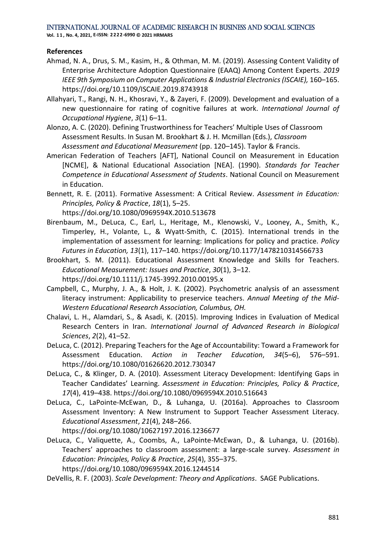**Vol. 1 1 , No. 4, 2021, E-ISSN: 2222-6990 © 2021 HRMARS**

## **References**

- Ahmad, N. A., Drus, S. M., Kasim, H., & Othman, M. M. (2019). Assessing Content Validity of Enterprise Architecture Adoption Questionnaire (EAAQ) Among Content Experts. *2019 IEEE 9th Symposium on Computer Applications & Industrial Electronics (ISCAIE),* 160–165. https://doi.org/10.1109/ISCAIE.2019.8743918
- Allahyari, T., Rangi, N. H., Khosravi, Y., & Zayeri, F. (2009). Development and evaluation of a new questionnaire for rating of cognitive failures at work. *International Journal of Occupational Hygiene*, *3*(1) 6–11.
- Alonzo, A. C. (2020). Defining Trustworthiness for Teachers' Multiple Uses of Classroom Assessment Results. In Susan M. Brookhart & J. H. Mcmillan (Eds.), *Classroom Assessment and Educational Measurement* (pp. 120–145). Taylor & Francis.
- American Federation of Teachers [AFT], National Council on Measurement in Education [NCME], & National Educational Association [NEA]. (1990). *Standards for Teacher Competence in Educational Assessment of Students*. National Council on Measurement in Education.
- Bennett, R. E. (2011). Formative Assessment: A Critical Review. *Assessment in Education: Principles, Policy & Practice*, *18*(1), 5–25.

https://doi.org/10.1080/0969594X.2010.513678

- Birenbaum, M., DeLuca, C., Earl, L., Heritage, M., Klenowski, V., Looney, A., Smith, K., Timperley, H., Volante, L., & Wyatt-Smith, C. (2015). International trends in the implementation of assessment for learning: Implications for policy and practice. *Policy Futures in Education, 13*(1), 117–140. https://doi.org/10.1177/1478210314566733
- Brookhart, S. M. (2011). Educational Assessment Knowledge and Skills for Teachers. *Educational Measurement: Issues and Practice*, *30*(1), 3–12. https://doi.org/10.1111/j.1745-3992.2010.00195.x
- Campbell, C., Murphy, J. A., & Holt, J. K. (2002). Psychometric analysis of an assessment literacy instrument: Applicability to preservice teachers. *Annual Meeting of the Mid-Western Educational Research Association, Columbus, OH.*
- Chalavi, L. H., Alamdari, S., & Asadi, K. (2015). Improving Indices in Evaluation of Medical Research Centers in Iran. *International Journal of Advanced Research in Biological Sciences*, *2*(2), 41–52.
- DeLuca, C. (2012). Preparing Teachers for the Age of Accountability: Toward a Framework for Assessment Education. *Action in Teacher Education*, *34*(5–6), 576–591. https://doi.org/10.1080/01626620.2012.730347
- DeLuca, C., & Klinger, D. A. (2010). Assessment Literacy Development: Identifying Gaps in Teacher Candidates' Learning. *Assessment in Education: Principles, Policy & Practice*, *17*(4), 419–438. https://doi.org/10.1080/0969594X.2010.516643
- DeLuca, C., LaPointe-McEwan, D., & Luhanga, U. (2016a). Approaches to Classroom Assessment Inventory: A New Instrument to Support Teacher Assessment Literacy. *Educational Assessment*, *21*(4), 248–266. https://doi.org/10.1080/10627197.2016.1236677
- DeLuca, C., Valiquette, A., Coombs, A., LaPointe-McEwan, D., & Luhanga, U. (2016b). Teachers' approaches to classroom assessment: a large-scale survey. *Assessment in Education: Principles, Policy & Practice*, *25*(4), 355–375. https://doi.org/10.1080/0969594X.2016.1244514

DeVellis, R. F. (2003). *Scale Development: Theory and Applications*. SAGE Publications.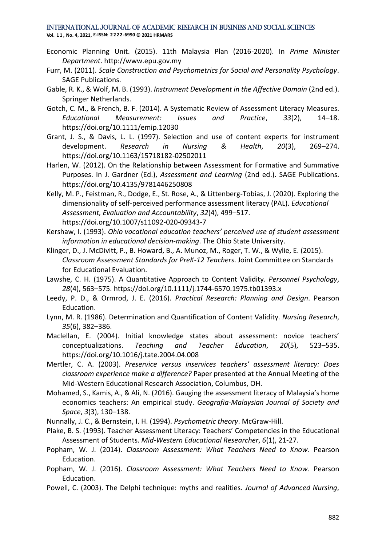**Vol. 1 1 , No. 4, 2021, E-ISSN: 2222-6990 © 2021 HRMARS**

- Economic Planning Unit. (2015). 11th Malaysia Plan (2016-2020). In *Prime Minister Department*. http://www.epu.gov.my
- Furr, M. (2011). *Scale Construction and Psychometrics for Social and Personality Psychology*. SAGE Publications.
- Gable, R. K., & Wolf, M. B. (1993). *Instrument Development in the Affective Domain* (2nd ed.). Springer Netherlands.
- Gotch, C. M., & French, B. F. (2014). A Systematic Review of Assessment Literacy Measures. *Educational Measurement: Issues and Practice*, *33*(2), 14–18. https://doi.org/10.1111/emip.12030
- Grant, J. S., & Davis, L. L. (1997). Selection and use of content experts for instrument development. *Research in Nursing & Health*, *20*(3), 269–274. https://doi.org/10.1163/15718182-02502011
- Harlen, W. (2012). On the Relationship between Assessment for Formative and Summative Purposes. In J. Gardner (Ed.), *Assessment and Learning* (2nd ed.). SAGE Publications. https://doi.org/10.4135/9781446250808
- Kelly, M. P., Feistman, R., Dodge, E., St. Rose, A., & Littenberg-Tobias, J. (2020). Exploring the dimensionality of self-perceived performance assessment literacy (PAL). *Educational Assessment, Evaluation and Accountability*, *32*(4), 499–517. https://doi.org/10.1007/s11092-020-09343-7
- Kershaw, I. (1993). *Ohio vocational education teachers' perceived use of student assessment information in educational decision-making*. The Ohio State University.
- Klinger, D., J. McDivitt, P., B. Howard, B., A. Munoz, M., Roger, T. W., & Wylie, E. (2015). *Classroom Assessment Standards for PreK-12 Teachers*. Joint Committee on Standards for Educational Evaluation.
- Lawshe, C. H. (1975). A Quantitative Approach to Content Validity. *Personnel Psychology*, *28*(4), 563–575. https://doi.org/10.1111/j.1744-6570.1975.tb01393.x
- Leedy, P. D., & Ormrod, J. E. (2016). *Practical Research: Planning and Design*. Pearson Education.
- Lynn, M. R. (1986). Determination and Quantification of Content Validity. *Nursing Research*, *35*(6), 382–386.
- Maclellan, E. (2004). Initial knowledge states about assessment: novice teachers' conceptualizations. *Teaching and Teacher Education*, *20*(5), 523–535. https://doi.org/10.1016/j.tate.2004.04.008
- Mertler, C. A. (2003). *Preservice versus inservices teachers' assessment literacy: Does classroom experience make a difference?* Paper presented at the Annual Meeting of the Mid-Western Educational Research Association, Columbus, OH.

Mohamed, S., Kamis, A., & Ali, N. (2016). Gauging the assessment literacy of Malaysia's home economics teachers: An empirical study. *Geografia-Malaysian Journal of Society and Space*, *3*(3), 130–138.

- Nunnally, J. C., & Bernstein, I. H. (1994). *Psychometric theory*. McGraw-Hill.
- Plake, B. S. (1993). Teacher Assessment Literacy: Teachers' Competencies in the Educational Assessment of Students. *Mid-Western Educational Researcher*, *6*(1), 21-27.
- Popham, W. J. (2014). *Classroom Assessment: What Teachers Need to Know*. Pearson Education.
- Popham, W. J. (2016). *Classroom Assessment: What Teachers Need to Know*. Pearson Education.
- Powell, C. (2003). The Delphi technique: myths and realities. *Journal of Advanced Nursing*,